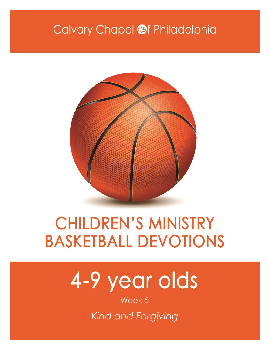# Calvary Chapel <sup>of</sup> Philadelphia



# **CHILDREN'S MINISTRY BASKETBALL DEVOTIONS**

# 4-9 year olds

Week 5

*Kind and Forgiving*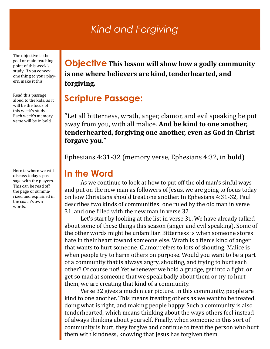## *Kind and Forgiving*

The objective is the goal or main teaching point of this week's study. If you convey one thing to your players, make it this.

Read this passage aloud to the kids, as it will be the focus of this week's study. Each week's memory verse will be in bold.

Here is where we will discuss today's passage with the players. This can be read off the page or summarized and explained in the coach's own words.

**Objective This lesson will show how a godly community is one where believers are kind, tenderhearted, and forgiving.**

#### **Scripture Passage:**

"Let all bitterness, wrath, anger, clamor, and evil speaking be put away from you, with all malice. **And be kind to one another, tenderhearted, forgiving one another, even as God in Christ forgave you.**"

Ephesians 4:31-32 (memory verse, Ephesians 4:32, in **bold**)

#### **In the Word**

As we continue to look at how to put off the old man's sinful ways and put on the new man as followers of Jesus, we are going to focus today on how Christians should treat one another. In Ephesians 4:31-32, Paul describes two kinds of communities: one ruled by the old man in verse 31, and one filled with the new man in verse 32.

Let's start by looking at the list in verse 31. We have already talked about some of these things this season (anger and evil speaking). Some of the other words might be unfamiliar. Bitterness is when someone stores hate in their heart toward someone else. Wrath is a fierce kind of anger that wants to hurt someone. Clamor refers to lots of shouting. Malice is when people try to harm others on purpose. Would you want to be a part of a community that is always angry, shouting, and trying to hurt each other? Of course not! Yet whenever we hold a grudge, get into a fight, or get so mad at someone that we speak badly about them or try to hurt them, we are creating that kind of a community.

Verse 32 gives a much nicer picture. In this community, people are kind to one another. This means treating others as we want to be treated, doing what is right, and making people happy. Such a community is also tenderhearted, which means thinking about the ways others feel instead of always thinking about yourself. Finally, when someone in this sort of community is hurt, they forgive and continue to treat the person who hurt them with kindness, knowing that Jesus has forgiven them.